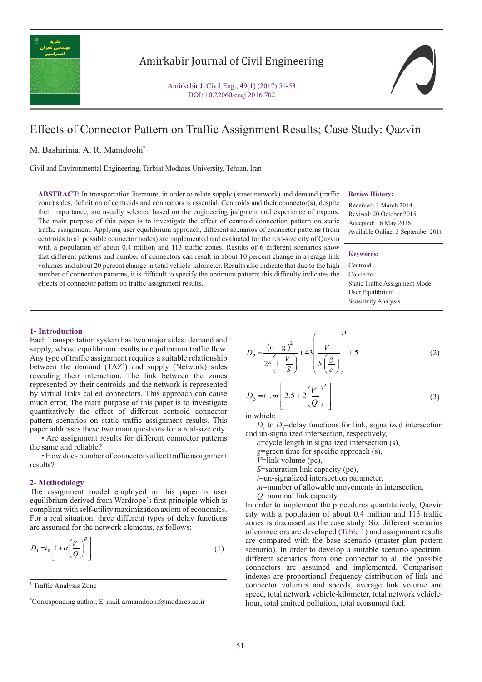

## Amirkabir Journal of Civil Engineering

Amirkabir J. Civil Eng., 49(1) (2017) 51-53 DOI: 10.22060/ceej.2016.702



# Effects of Connector Pattern on Traffic Assignment Results; Case Study: Qazvin

## M. Bashirinia, A. R. Mamdoohi\*

Civil and Environmental Engineering, Tarbiat Modares University, Tehran, Iran

**ABSTRACT:** In transportation literature, in order to relate supply (street network) and demand (traffic zone) sides, definition of centroids and connectors is essential. Centroids and their connector(s), despite their importance, are usually selected based on the engineering judgment and experience of experts. The main purpose of this paper is to investigate the effect of centroid connection pattern on static traffic assignment. Applying user equilibrium approach, different scenarios of connector patterns (from centroids to all possible connector nodes) are implemented and evaluated for the real-size city of Qazvin with a population of about 0.4 million and 113 traffic zones. Results of 6 different scenarios show that different patterns and number of connectors can result in about 10 percent change in average link volumes and about 20 percent change in total vehicle-kilometer. Results also indicate that due to the high number of connection patterns, it is difficult to specify the optimum pattern; this difficulty indicates the effects of connector pattern on traffic assignment results.

#### **Review History:**

Received: 3 March 2014 Revised: 20 October 2015 Accepted: 16 May 2016 Available Online: 3 September 2016

## **Keywords:**

Centroid Connector Static Traffic Assignment Model User Equilibrium Sensitivity Analysis

#### **1- Introduction**

Each Transportation system has two major sides: demand and supply, whose equilibrium results in equilibrium traffic flow. Any type of traffic assignment requires a suitable relationship between the demand  $(TAZ<sup>1</sup>)$  and supply (Network) sides revealing their interaction. The link between the zones represented by their centroids and the network is represented by virtual links called connectors. This approach can cause much error. The main purpose of this paper is to investigate quantitatively the effect of different centroid connector pattern scenarios on static traffic assignment results. This paper addresses these two main questions for a real-size city:

• Are assignment results for different connector patterns the same and reliable?

• How does number of connectors affect traffic assignment results?

## **2- Methodology**

The assignment model employed in this paper is user equilibrium derived from Wardrope's first principle which is compliant with self-utility maximization axiom of economics. For a real situation, three different types of delay functions are assumed for the network elements, as follows:

$$
D_1 = t_0 \left[ 1 + \alpha \left( \frac{V}{Q} \right)^{\beta} \right] \tag{1}
$$

<sup>1</sup> Traffic Analysis Zone

$$
D_2 = \frac{(c-g)^2}{2c\left(1-\frac{V}{S}\right)} + 43\left(\frac{V}{S\left(\frac{g}{c}\right)}\right)^4 + 5\tag{2}
$$

$$
D_3 = t \cdot m \left[ 2.5 + 2 \left( \frac{V}{Q} \right)^2 \right]
$$
 (3)

in which:

 $D_1$  to  $D_3$ =delay functions for link, signalized intersection and un-signalized intersection, respectively,

*c*=cycle length in signalized intersection (s),

*g*=green time for specific approach (s),

*V*=link volume (pc),

*S*=saturation link capacity (pc),

*t*=un-signalized intersection parameter,

- *m*=number of allowable movements in intersection,
- *Q*=nominal link capacity.

In order to implement the procedures quantitatively, Qazvin city with a population of about 0.4 million and 113 traffic zones is discussed as the case study. Six different scenarios of connectors are developed (Table 1) and assignment results are compared with the base scenario (master plan pattern scenario). In order to develop a suitable scenario spectrum, different scenarios from one connector to all the possible connectors are assumed and implemented. Comparison indexes are proportional frequency distribution of link and connector volumes and speeds, average link volume and speed, total network vehicle-kilometer, total network vehiclehour, total emitted pollution, total consumed fuel.

Corresponding author, E-mail: armamdoohi@modares.ac.ir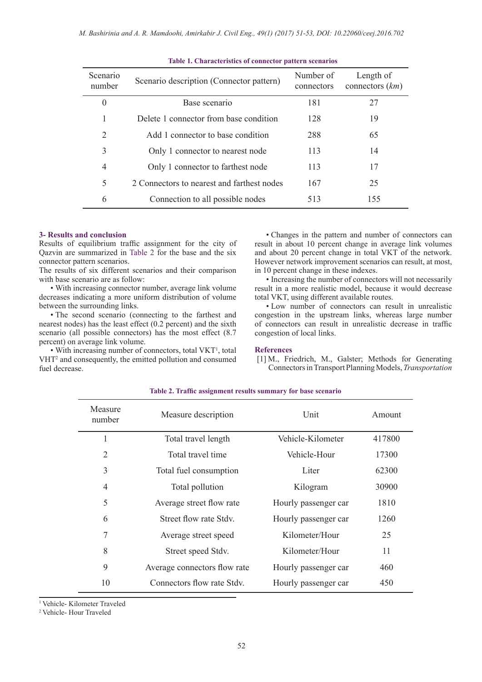| <b>Scenario</b><br>number | Scenario description (Connector pattern)   | Number of<br>connectors | Length of<br>connectors $(km)$ |
|---------------------------|--------------------------------------------|-------------------------|--------------------------------|
| $\boldsymbol{0}$          | Base scenario                              | 181                     | 27                             |
|                           | Delete 1 connector from base condition     | 128                     | 19                             |
| $\overline{2}$            | Add 1 connector to base condition          | 288                     | 65                             |
| 3                         | Only 1 connector to nearest node           | 113                     | 14                             |
| 4                         | Only 1 connector to farthest node          | 113                     | 17                             |
| 5                         | 2 Connectors to nearest and farthest nodes | 167                     | 25                             |
| 6                         | Connection to all possible nodes           | 513                     | 155                            |

## **3- Results and conclusion**

Results of equilibrium traffic assignment for the city of Qazvin are summarized in Table 2 for the base and the six connector pattern scenarios.

The results of six different scenarios and their comparison with base scenario are as follow:

• With increasing connector number, average link volume decreases indicating a more uniform distribution of volume between the surrounding links.

• The second scenario (connecting to the farthest and nearest nodes) has the least effect (0.2 percent) and the sixth scenario (all possible connectors) has the most effect (8.7) percent) on average link volume.

• With increasing number of connectors, total VKT<sup>1</sup>, total VHT<sup>2</sup> and consequently, the emitted pollution and consumed fuel decrease.

• Changes in the pattern and number of connectors can result in about 10 percent change in average link volumes and about 20 percent change in total VKT of the network. However network improvement scenarios can result, at most, in 10 percent change in these indexes.

• Increasing the number of connectors will not necessarily result in a more realistic model, because it would decrease total VKT, using different available routes.

• Low number of connectors can result in unrealistic congestion in the upstream links, whereas large number of connectors can result in unrealistic decrease in traffic congestion of local links.

## **References**

[1] M., Friedrich, M., Galster; Methods for Generating Connectors in Transport Planning Models, *Transportation* 

| Measure<br>number | Measure description          | Unit                 | Amount |
|-------------------|------------------------------|----------------------|--------|
| 1                 | Total travel length          | Vehicle-Kilometer    | 417800 |
| $\overline{2}$    | Total travel time            | Vehicle-Hour         | 17300  |
| 3                 | Total fuel consumption       | Liter                | 62300  |
| 4                 | Total pollution              | Kilogram             | 30900  |
| 5                 | Average street flow rate     | Hourly passenger car | 1810   |
| 6                 | Street flow rate Stdy.       | Hourly passenger car | 1260   |
| 7                 | Average street speed         | Kilometer/Hour       | 25     |
| 8                 | Street speed Stdv.           | Kilometer/Hour       | 11     |
| 9                 | Average connectors flow rate | Hourly passenger car | 460    |
| 10                | Connectors flow rate Stdy.   | Hourly passenger car | 450    |

#### **Table 2. Traffic assignment results summary for base scenario**

1  Vehicle- Kilometer Traveled

2  Vehicle- Hour Traveled